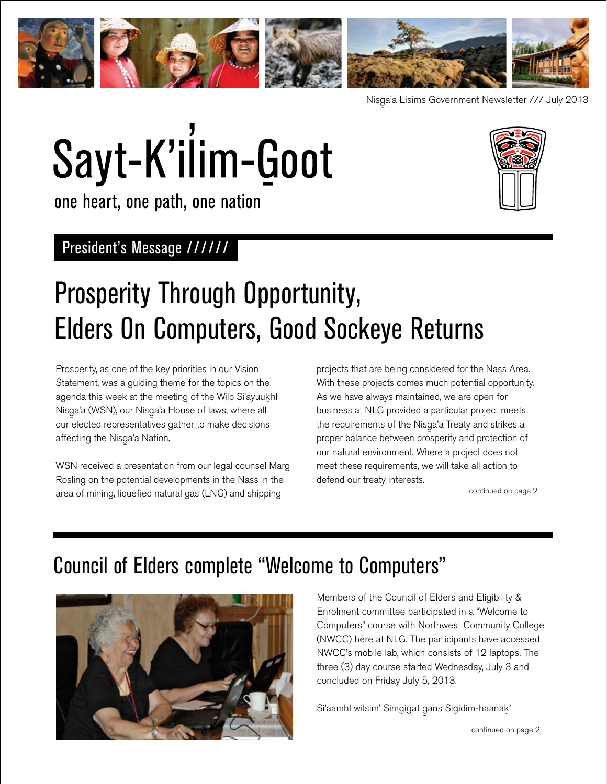

Nisg-a'a Lisims Government Newsletter /// July 2013

# Sayt-K'ilim-Goot



one heart, one path, one nation

### President's Message //////

# Prosperity Through Opportunity, Elders On Computers, Good Sockeye Returns

Prosperity, as one of the key priorities in our Vision Statement, was a guiding theme for the topics on the agenda this week at the meeting of the Wilp Si'ayuukhl Nisga'a (WSN), our Nisga'a House of laws, where all<br>expansive the law of the law of the law of the law our elected representatives gather to make decisions affecting the Nisga'a Nation.<br>'

WSN received a presentation from our legal counsel Marg Rosling on the potential developments in the Nass in the area of mining, liquefied natural gas (LNG) and shipping

projects that are being considered for the Nass Area. With these projects comes much potential opportunity. As we have always maintained, we are open for business at NLG provided a particular project meets the requirements of the Nisga'a Treaty and strikes a<br>and the control of the control of the control of the control of the control of the control of the control of t proper balance between prosperity and protection of our natural environment. Where a project does not meet these requirements, we will take all action to defend our treaty interests.

continued on page 2

## Council of Elders complete "Welcome to Computers"



Members of the Council of Elders and Eligibility & Enrolment committee participated in a "Welcome to Computers" course with Northwest Community College (NWCC) here at NLG. The participants have accessed NWCC's mobile lab, which consists of 12 laptops. The three (3) day course started Wednesday, July 3 and concluded on Friday July 5, 2013.

Si'aamhl wilsim' Simgigat gans Sigidim-haana<u>k</u> '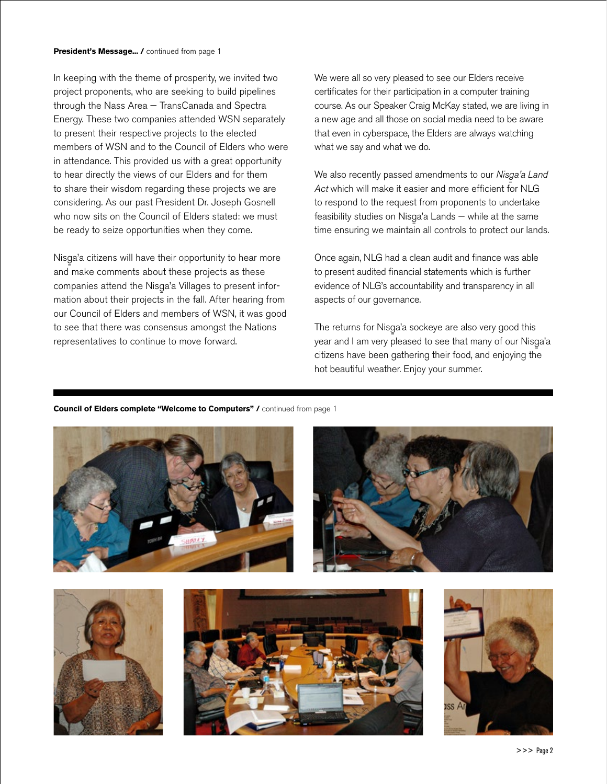In keeping with the theme of prosperity, we invited two project proponents, who are seeking to build pipelines through the Nass Area — TransCanada and Spectra Energy. These two companies attended WSN separately to present their respective projects to the elected members of WSN and to the Council of Elders who were in attendance. This provided us with a great opportunity to hear directly the views of our Elders and for them to share their wisdom regarding these projects we are considering. As our past President Dr. Joseph Gosnell who now sits on the Council of Elders stated: we must be ready to seize opportunities when they come.

Nisg-a'a citizens will have their opportunity to hear more and make comments about these projects as these companies attend the Nisga'a Villages to present information about their projects in the fall. After hearing from our Council of Elders and members of WSN, it was good to see that there was consensus amongst the Nations representatives to continue to move forward.

We were all so very pleased to see our Elders receive certificates for their participation in a computer training course. As our Speaker Craig McKay stated, we are living in a new age and all those on social media need to be aware that even in cyberspace, the Elders are always watching what we say and what we do.

We also recently passed amendments to our *Nisga'a Land a Act* which will make it easier and more efficient for NLG to respond to the request from proponents to undertake feasibility studies on Nisga'a Lands — while at the same<br>'' time ensuring we maintain all controls to protect our lands.

Once again, NLG had a clean audit and finance was able to present audited financial statements which is further evidence of NLG's accountability and transparency in all aspects of our governance.

The returns for Nisg-a'a sockeye are also very good this year and I am very pleased to see that many of our Nisga'a<br>... citizens have been gathering their food, and enjoying the hot beautiful weather. Enjoy your summer.

#### **Council of Elders complete "Welcome to Computers" /** continued from page 1





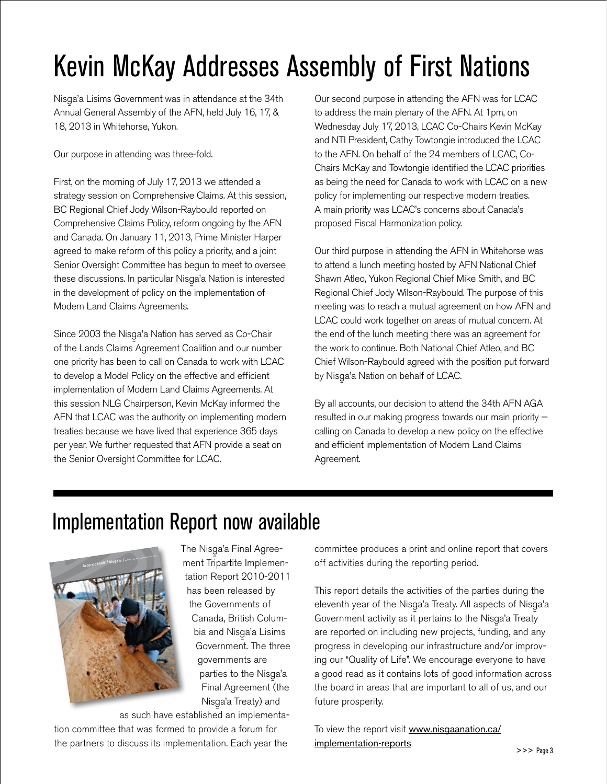# Kevin McKay Addresses Assembly of First Nations

Nisga'a Lisims Government was in attendance at the 34th Annual General Assembly of the AFN, held July 16, 17, & 18, 2013 in Whitehorse, Yukon.

Our purpose in attending was three-fold.

First, on the morning of July 17, 2013 we attended a strategy session on Comprehensive Claims. At this session, BC Regional Chief Jody Wilson-Raybould reported on Comprehensive Claims Policy, reform ongoing by the AFN and Canada. On January 11, 2013, Prime Minister Harper agreed to make reform of this policy a priority, and a joint Senior Oversight Committee has begun to meet to oversee these discussions. In particular Nisg-a'a Nation is interested in the development of policy on the implementation of Modern Land Claims Agreements.

Since 2003 the Nisga'a Nation has served as Co-Chair<br>And Local Local Local Local Library of the Lands Claims Agreement Coalition and our number one priority has been to call on Canada to work with LCAC to develop a Model Policy on the effective and efficient implementation of Modern Land Claims Agreements. At this session NLG Chairperson, Kevin McKay informed the AFN that LCAC was the authority on implementing modern treaties because we have lived that experience 365 days per year. We further requested that AFN provide a seat on the Senior Oversight Committee for LCAC.

Our second purpose in attending the AFN was for LCAC to address the main plenary of the AFN. At 1pm, on Wednesday July 17, 2013, LCAC Co-Chairs Kevin McKay and NTI President, Cathy Towtongie introduced the LCAC to the AFN. On behalf of the 24 members of LCAC, Co-Chairs McKay and Towtongie identified the LCAC priorities as being the need for Canada to work with LCAC on a new policy for implementing our respective modern treaties. A main priority was LCAC's concerns about Canada's proposed Fiscal Harmonization policy.

Our third purpose in attending the AFN in Whitehorse was to attend a lunch meeting hosted by AFN National Chief Shawn Atleo, Yukon Regional Chief Mike Smith, and BC Regional Chief Jody Wilson-Raybould. The purpose of this meeting was to reach a mutual agreement on how AFN and LCAC could work together on areas of mutual concern. At the end of the lunch meeting there was an agreement for the work to continue. Both National Chief Atleo, and BC Chief Wilson-Raybould agreed with the position put forward by Nisga'a Nation on behalf of LCAC.<br>.

By all accounts, our decision to attend the 34th AFN AGA resulted in our making progress towards our main priority calling on Canada to develop a new policy on the effective and efficient implementation of Modern Land Claims Agreement.

## Implementation Report now available



The Nisga'a Final Agree-<br>And Allin Andrew ment Tripartite Implementation Report 2010-2011 has been released by the Governments of Canada, British Columbia and Nisga'a Lisims<br>C Government. The three governments are parties to the Nisga'a<br>Finales Final Agreement (the Nisga'a Treaty) and<br>.

as such have established an implementation committee that was formed to provide a forum for the partners to discuss its implementation. Each year the

committee produces a print and online report that covers off activities during the reporting period.

This report details the activities of the parties during the eleventh year of the Nisga'a Treaty. All aspects of Nisga'a<br>C Government activity as it pertains to the Nisga'a Treaty are reported on including new projects, funding, and any progress in developing our infrastructure and/or improving our "Quality of Life". We encourage everyone to have a good read as it contains lots of good information across the board in areas that are important to all of us, and our future prosperity.

To view the report visit [www.nisgaanation.ca/](http://www.nisgaanation.ca/implementation-reports) [implementation-reports](http://www.nisgaanation.ca/implementation-reports)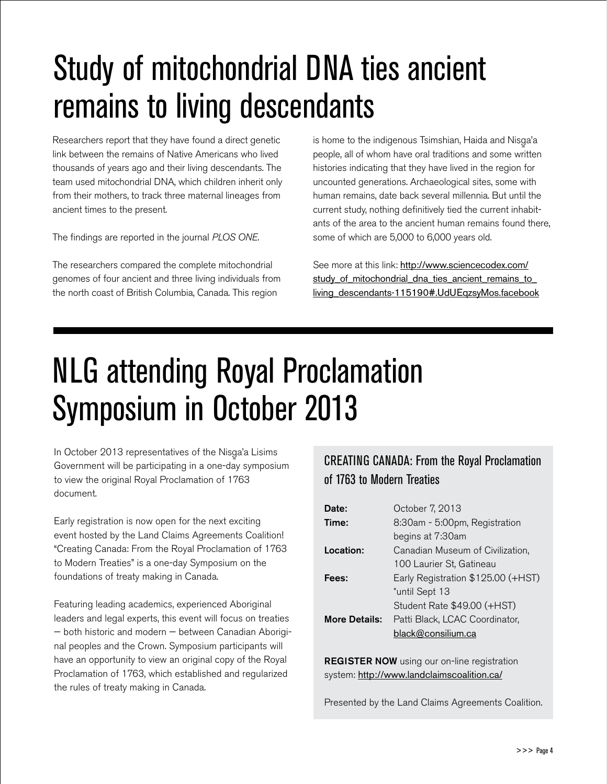# Study of mitochondrial DNA ties ancient remains to living descendants

Researchers report that they have found a direct genetic link between the remains of Native Americans who lived thousands of years ago and their living descendants. The team used mitochondrial DNA, which children inherit only from their mothers, to track three maternal lineages from ancient times to the present.

The findings are reported in the journal *PLOS ONE*.

The researchers compared the complete mitochondrial genomes of four ancient and three living individuals from the north coast of British Columbia, Canada. This region

is home to the indigenous Tsimshian, Haida and Nisga'a<br>a'aa'aa'aa ahaa ahaan ahaan ahaan ahaan ahaan ahaan ah people, all of whom have oral traditions and some written histories indicating that they have lived in the region for uncounted generations. Archaeological sites, some with human remains, date back several millennia. But until the current study, nothing definitively tied the current inhabitants of the area to the ancient human remains found there, some of which are 5,000 to 6,000 years old.

See more at this link: [http://www.sciencecodex.com/](http://www.sciencecodex.com/study_of_mitochondrial_dna_ties_ancient_remains_to_living_descendants-115190#.UdUEqzsyMos.facebook) study of mitochondrial dna ties ancient remains to [living\\_descendants-115190#.UdUEqzsyMos.facebook](http://www.sciencecodex.com/study_of_mitochondrial_dna_ties_ancient_remains_to_living_descendants-115190#.UdUEqzsyMos.facebook)

# NLG attending Royal Proclamation Symposium in October 2013

In October 2013 representatives of the Nisga'a Lisims<br>C Government will be participating in a one-day symposium to view the original Royal Proclamation of 1763 document.

Early registration is now open for the next exciting event hosted by the Land Claims Agreements Coalition! "Creating Canada: From the Royal Proclamation of 1763 to Modern Treaties" is a one-day Symposium on the foundations of treaty making in Canada.

Featuring leading academics, experienced Aboriginal leaders and legal experts, this event will focus on treaties — both historic and modern — between Canadian Aboriginal peoples and the Crown. Symposium participants will have an opportunity to view an original copy of the Royal Proclamation of 1763, which established and regularized the rules of treaty making in Canada.

### CREATING CANADA: From the Royal Proclamation of 1763 to Modern Treaties

| Date:                | October 7, 2013                    |
|----------------------|------------------------------------|
| Time:                | 8:30am - 5:00pm, Registration      |
|                      | begins at 7:30am                   |
| Location:            | Canadian Museum of Civilization,   |
|                      | 100 Laurier St, Gatineau           |
| Fees:                | Early Registration \$125.00 (+HST) |
|                      | *until Sept 13                     |
|                      | Student Rate \$49.00 (+HST)        |
| <b>More Details:</b> | Patti Black, LCAC Coordinator,     |
|                      | black@consilium.ca                 |

**REGISTER NOW** using our on-line registration system: <http://www.landclaimscoalition.ca/>

Presented by the Land Claims Agreements Coalition.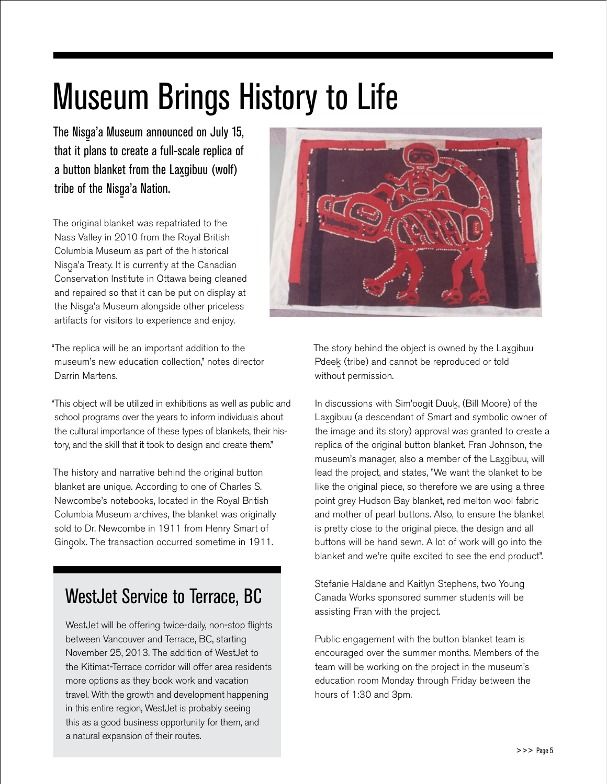# Museum Brings History to Life

The Nisg-a'a Museum announced on July 15, that it plans to create a full-scale replica of a button blanket from the Lax-gibuu (wolf) tribe of the Nisga'a Nation.<br>'

The original blanket was repatriated to the Nass Valley in 2010 from the Royal British Columbia Museum as part of the historical Nisg-a'a Treaty. It is currently at the Canadian Conservation Institute in Ottawa being cleaned and repaired so that it can be put on display at the Nisga'a Museum alongside other priceless<br>... artifacts for visitors to experience and enjoy.

"The replica will be an important addition to the museum's new education collection," notes director Darrin Martens.

"This object will be utilized in exhibitions as well as public and school programs over the years to inform individuals about the cultural importance of these types of blankets, their history, and the skill that it took to design and create them."

The history and narrative behind the original button blanket are unique. According to one of Charles S. Newcombe's notebooks, located in the Royal British Columbia Museum archives, the blanket was originally sold to Dr. Newcombe in 1911 from Henry Smart of Gingolx. The transaction occurred sometime in 1911.

### WestJet Service to Terrace, BC

WestJet will be offering twice-daily, non-stop flights between Vancouver and Terrace, BC, starting November 25, 2013. The addition of WestJet to the Kitimat-Terrace corridor will offer area residents more options as they book work and vacation travel. With the growth and development happening in this entire region, WestJet is probably seeing this as a good business opportunity for them, and a natural expansion of their routes.



The story behind the object is owned by the Laxgibuu Pdeek (tribe) and cannot be reproduced or told without permission.

In discussions with Sim'oogit Duuk- , (Bill Moore) of the Lax-gibuu (a descendant of Smart and symbolic owner of the image and its story) approval was granted to create a replica of the original button blanket. Fran Johnson, the museum's manager, also a member of the Laxgibuu, will lead the project, and states, "We want the blanket to be like the original piece, so therefore we are using a three point grey Hudson Bay blanket, red melton wool fabric and mother of pearl buttons. Also, to ensure the blanket is pretty close to the original piece, the design and all buttons will be hand sewn. A lot of work will go into the blanket and we're quite excited to see the end product".

Stefanie Haldane and Kaitlyn Stephens, two Young Canada Works sponsored summer students will be assisting Fran with the project.

Public engagement with the button blanket team is encouraged over the summer months. Members of the team will be working on the project in the museum's education room Monday through Friday between the hours of 1:30 and 3pm.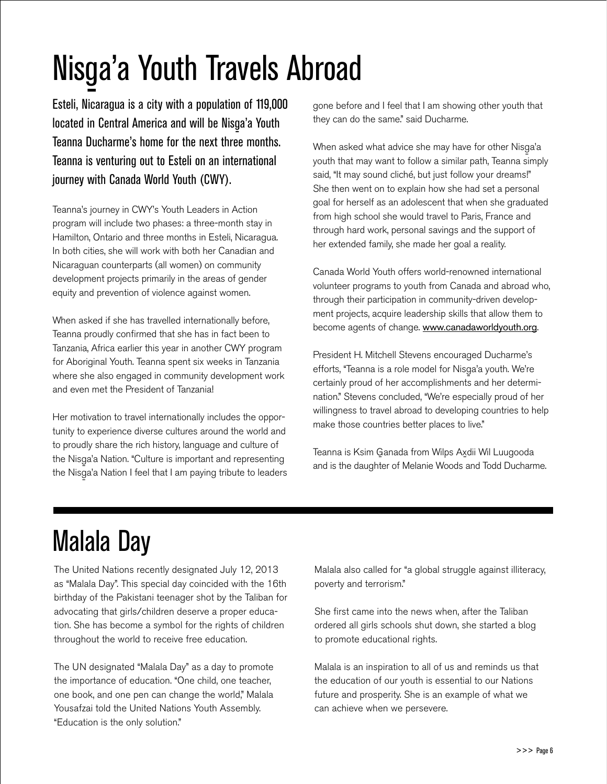# Nisga'a Youth Travels Abroad

Esteli, Nicaragua is a city with a population of 119,000 located in Central America and will be Nisga'a Youth<br>T Teanna Ducharme's home for the next three months. Teanna is venturing out to Esteli on an international journey with Canada World Youth (CWY).

Teanna's journey in CWY's Youth Leaders in Action program will include two phases: a three-month stay in Hamilton, Ontario and three months in Esteli, Nicaragua. In both cities, she will work with both her Canadian and Nicaraguan counterparts (all women) on community development projects primarily in the areas of gender equity and prevention of violence against women.

When asked if she has travelled internationally before, Teanna proudly confirmed that she has in fact been to Tanzania, Africa earlier this year in another CWY program for Aboriginal Youth. Teanna spent six weeks in Tanzania where she also engaged in community development work and even met the President of Tanzania!

Her motivation to travel internationally includes the opportunity to experience diverse cultures around the world and to proudly share the rich history, language and culture of the Nisga'a Nation. "Culture is important and representing<br>" the Nisga'a Nation I feel that I am paying tribute to leaders<br>. gone before and I feel that I am showing other youth that they can do the same." said Ducharme.

When asked what advice she may have for other Nisg-a'a youth that may want to follow a similar path, Teanna simply said, "It may sound cliché, but just follow your dreams!" She then went on to explain how she had set a personal goal for herself as an adolescent that when she graduated from high school she would travel to Paris, France and through hard work, personal savings and the support of her extended family, she made her goal a reality.

Canada World Youth offers world-renowned international volunteer programs to youth from Canada and abroad who, through their participation in community-driven development projects, acquire leadership skills that allow them to become agents of change. <www.canadaworldyouth.org>.

President H. Mitchell Stevens encouraged Ducharme's efforts, "Teanna is a role model for Nisg-a'a youth. We're certainly proud of her accomplishments and her determination." Stevens concluded, "We're especially proud of her willingness to travel abroad to developing countries to help make those countries better places to live."

Teanna is Ksim Ganada from Wilps Axdii Wil Luugooda and is the daughter of Melanie Woods and Todd Ducharme.

# Malala Day

The United Nations recently designated July 12, 2013 as "Malala Day". This special day coincided with the 16th birthday of the Pakistani teenager shot by the Taliban for advocating that girls/children deserve a proper education. She has become a symbol for the rights of children throughout the world to receive free education.

The UN designated "Malala Day" as a day to promote the importance of education. "One child, one teacher, one book, and one pen can change the world," Malala Yousafzai told the United Nations Youth Assembly. "Education is the only solution."

Malala also called for "a global struggle against illiteracy, poverty and terrorism."

She first came into the news when, after the Taliban ordered all girls schools shut down, she started a blog to promote educational rights.

Malala is an inspiration to all of us and reminds us that the education of our youth is essential to our Nations future and prosperity. She is an example of what we can achieve when we persevere.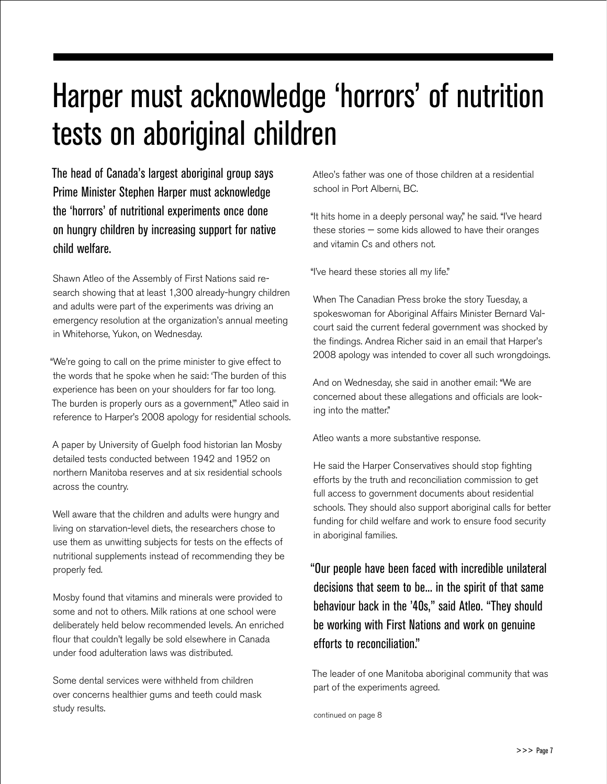# Harper must acknowledge 'horrors' of nutrition tests on aboriginal children

The head of Canada's largest aboriginal group says Prime Minister Stephen Harper must acknowledge the 'horrors' of nutritional experiments once done on hungry children by increasing support for native child welfare.

Shawn Atleo of the Assembly of First Nations said research showing that at least 1,300 already-hungry children and adults were part of the experiments was driving an emergency resolution at the organization's annual meeting in Whitehorse, Yukon, on Wednesday.

"We're going to call on the prime minister to give effect to the words that he spoke when he said: 'The burden of this experience has been on your shoulders for far too long. The burden is properly ours as a government,'" Atleo said in reference to Harper's 2008 apology for residential schools.

A paper by University of Guelph food historian Ian Mosby detailed tests conducted between 1942 and 1952 on northern Manitoba reserves and at six residential schools across the country.

Well aware that the children and adults were hungry and living on starvation-level diets, the researchers chose to use them as unwitting subjects for tests on the effects of nutritional supplements instead of recommending they be properly fed.

Mosby found that vitamins and minerals were provided to some and not to others. Milk rations at one school were deliberately held below recommended levels. An enriched flour that couldn't legally be sold elsewhere in Canada under food adulteration laws was distributed.

Some dental services were withheld from children over concerns healthier gums and teeth could mask study results.

Atleo's father was one of those children at a residential school in Port Alberni, BC.

"It hits home in a deeply personal way," he said. "I've heard these stories — some kids allowed to have their oranges and vitamin Cs and others not.

"I've heard these stories all my life."

When The Canadian Press broke the story Tuesday, a spokeswoman for Aboriginal Affairs Minister Bernard Valcourt said the current federal government was shocked by the findings. Andrea Richer said in an email that Harper's 2008 apology was intended to cover all such wrongdoings.

And on Wednesday, she said in another email: "We are concerned about these allegations and officials are looking into the matter."

Atleo wants a more substantive response.

He said the Harper Conservatives should stop fighting efforts by the truth and reconciliation commission to get full access to government documents about residential schools. They should also support aboriginal calls for better funding for child welfare and work to ensure food security in aboriginal families.

"Our people have been faced with incredible unilateral decisions that seem to be... in the spirit of that same behaviour back in the '40s," said Atleo. "They should be working with First Nations and work on genuine efforts to reconciliation."

The leader of one Manitoba aboriginal community that was part of the experiments agreed.

continued on page 8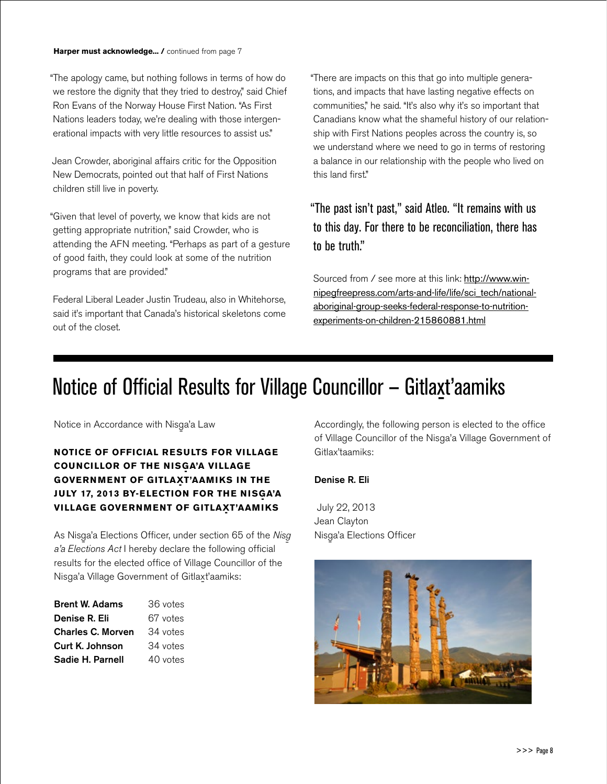"The apology came, but nothing follows in terms of how do we restore the dignity that they tried to destroy," said Chief Ron Evans of the Norway House First Nation. "As First Nations leaders today, we're dealing with those intergenerational impacts with very little resources to assist us."

Jean Crowder, aboriginal affairs critic for the Opposition New Democrats, pointed out that half of First Nations children still live in poverty.

"Given that level of poverty, we know that kids are not getting appropriate nutrition," said Crowder, who is attending the AFN meeting. "Perhaps as part of a gesture of good faith, they could look at some of the nutrition programs that are provided."

Federal Liberal Leader Justin Trudeau, also in Whitehorse, said it's important that Canada's historical skeletons come out of the closet.

"There are impacts on this that go into multiple generations, and impacts that have lasting negative effects on communities," he said. "It's also why it's so important that Canadians know what the shameful history of our relationship with First Nations peoples across the country is, so we understand where we need to go in terms of restoring a balance in our relationship with the people who lived on this land first."

### "The past isn't past," said Atleo. "It remains with us to this day. For there to be reconciliation, there has to be truth."

Sourced from / see more at this link: [http://www.win](http://www.winnipegfreepress.com/arts-and-life/life/sci_tech/national-aboriginal-group-seeks-federal-response-to-nutrition-experiments-on-children-215860881.html)[nipegfreepress.com/arts-and-life/life/sci\\_tech/national](http://www.winnipegfreepress.com/arts-and-life/life/sci_tech/national-aboriginal-group-seeks-federal-response-to-nutrition-experiments-on-children-215860881.html)[aboriginal-group-seeks-federal-response-to-nutrition](http://www.winnipegfreepress.com/arts-and-life/life/sci_tech/national-aboriginal-group-seeks-federal-response-to-nutrition-experiments-on-children-215860881.html)[experiments-on-children-215860881.html](http://www.winnipegfreepress.com/arts-and-life/life/sci_tech/national-aboriginal-group-seeks-federal-response-to-nutrition-experiments-on-children-215860881.html)

# Notice of Official Results for Village Councillor – Gitlaxt'aamiks

Notice in Accordance with Nisga'a Law<br>'

### **Notice of Official results for Village COUNCILLOR OF THE NISGA'A VILLAGE GOVERNMENT OF GITLAXT'AAMIKS IN THE JULY 17, 2013 BY-ELECTION FOR THE NISGA'A VILLAGE GOVERNMENT OF GITLAXT'AAMIKS**

As Nisga'a Elections Officer, under section 65 of the Nisg a'a Elections Act I hereby declare the following official results for the elected office of Village Councillor of the Nisga'a Village Government of Gitlaxt'aamiks:

| <b>Brent W. Adams</b>    | 36 votes |  |  |  |  |
|--------------------------|----------|--|--|--|--|
| Denise R. Eli            | 67 votes |  |  |  |  |
| <b>Charles C. Morven</b> | 34 votes |  |  |  |  |
| Curt K. Johnson          | 34 votes |  |  |  |  |
| Sadie H. Parnell         | 40 votes |  |  |  |  |

Accordingly, the following person is elected to the office of Village Councillor of the Nisga'a Village Government of Gitlax'taamiks:

### Denise R. Eli

 July 22, 2013 Jean Clayton Nisga'a Elections Officer

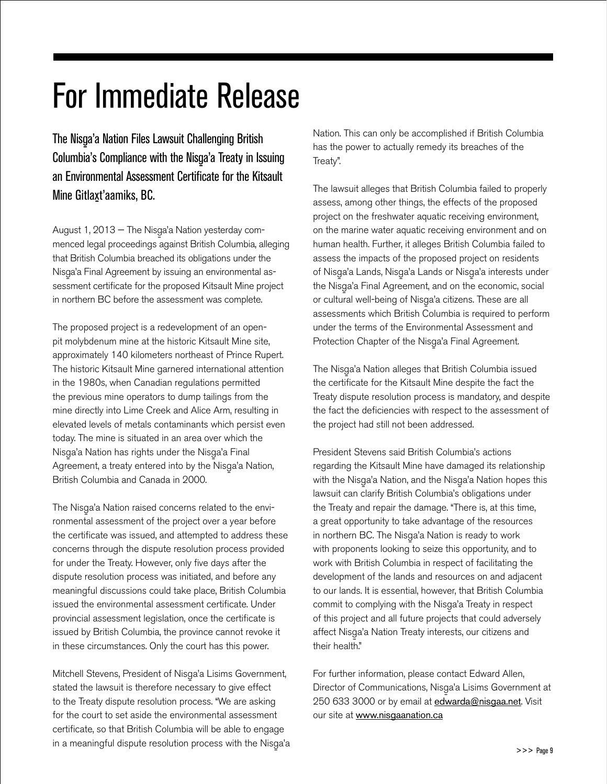# For Immediate Release

The Nisga'a Nation Files Lawsuit Challenging British Columbia's Compliance with the Nisga'a Treaty in Issuing an Environmental Assessment Certificate for the Kitsault Mine Gitla<u>x</u>t'aamiks, BC.

August 1, 2013 — The Nisga'a Nation yesterday commenced legal proceedings against British Columbia, alleging that British Columbia breached its obligations under the Nisg-a'a Final Agreement by issuing an environmental assessment certificate for the proposed Kitsault Mine project in northern BC before the assessment was complete.

The proposed project is a redevelopment of an openpit molybdenum mine at the historic Kitsault Mine site, approximately 140 kilometers northeast of Prince Rupert. The historic Kitsault Mine garnered international attention in the 1980s, when Canadian regulations permitted the previous mine operators to dump tailings from the mine directly into Lime Creek and Alice Arm, resulting in elevated levels of metals contaminants which persist even today. The mine is situated in an area over which the Nisga'a Nation has rights under the Nisga'a Final<br>A Agreement, a treaty entered into by the Nisga'a Nation,<br>Putte Collection of Collection 2000 British Columbia and Canada in 2000.

The Nisga'a Nation raised concerns related to the environmental assessment of the project over a year before the certificate was issued, and attempted to address these concerns through the dispute resolution process provided for under the Treaty. However, only five days after the dispute resolution process was initiated, and before any meaningful discussions could take place, British Columbia issued the environmental assessment certificate. Under provincial assessment legislation, once the certificate is issued by British Columbia, the province cannot revoke it in these circumstances. Only the court has this power.

Mitchell Stevens, President of Nisga'a Lisims Government,<br>Albert March Stevens, Charles Controller Controller stated the lawsuit is therefore necessary to give effect to the Treaty dispute resolution process. "We are asking for the court to set aside the environmental assessment certificate, so that British Columbia will be able to engage in a meaningful dispute resolution process with the Nisga'a Nation. This can only be accomplished if British Columbia has the power to actually remedy its breaches of the Treaty".

The lawsuit alleges that British Columbia failed to properly assess, among other things, the effects of the proposed project on the freshwater aquatic receiving environment, on the marine water aquatic receiving environment and on human health. Further, it alleges British Columbia failed to assess the impacts of the proposed project on residents of Nisga'a Lands, Nisga'a Lands or Nisga'a interests under<br>'' the Nisga'a Final Agreement, and on the economic, social<br> or cultural well-being of Nisga'a citizens. These are all<br>end in the link of the link of the link of the link of the link of the link of the link of the link of the lin assessments which British Columbia is required to perform under the terms of the Environmental Assessment and Protection Chapter of the Nisga'a Final Agreement.<br>'

The Nisga'a Nation alleges that British Columbia issued<br>'' the certificate for the Kitsault Mine despite the fact the Treaty dispute resolution process is mandatory, and despite the fact the deficiencies with respect to the assessment of the project had still not been addressed.

President Stevens said British Columbia's actions regarding the Kitsault Mine have damaged its relationship with the Nisg-a'a Nation, and the Nisg-a'a Nation hopes this lawsuit can clarify British Columbia's obligations under the Treaty and repair the damage. "There is, at this time, a great opportunity to take advantage of the resources in northern BC. The Nisg-a'a Nation is ready to work with proponents looking to seize this opportunity, and to work with British Columbia in respect of facilitating the development of the lands and resources on and adjacent to our lands. It is essential, however, that British Columbia commit to complying with the Nisga'a Treaty in respect of this project and all future projects that could adversely affect Nisga'a Nation Treaty interests, our citizens and<br>'' their health."

For further information, please contact Edward Allen, Director of Communications, Nisg-a'a Lisims Government at 250 633 3000 or by email at edwarda@nisgaa.net. Visit our site at www.nisgaanation.ca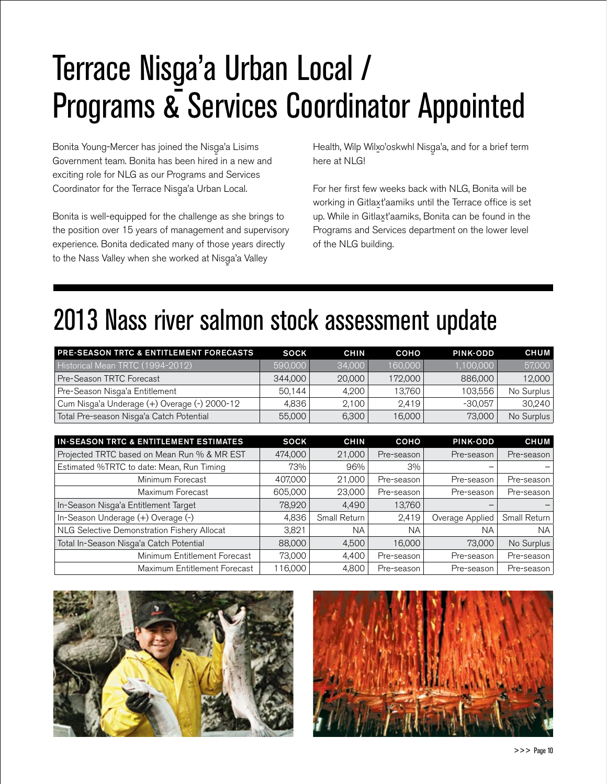# Terrace Nisga'a Urban Local /<br>Programe & Services Coordina Programs & Services Coordinator Appointed

Bonita Young-Mercer has joined the Nisga'a Lisims<br>C Government team. Bonita has been hired in a new and exciting role for NLG as our Programs and Services Coordinator for the Terrace Nisga'a Urban Local.<br>'

Bonita is well-equipped for the challenge as she brings to the position over 15 years of management and supervisory experience. Bonita dedicated many of those years directly to the Nass Valley when she worked at Nisga'a Valley<br>.

Health, Wilp Wilxo'oskwhl Nisga'a, and for a brief term<br>' here at NLGI

For her first few weeks back with NLG, Bonita will be working in Gitlax-t'aamiks until the Terrace office is set up. While in Gitlaxt'aamiks, Bonita can be found in the<br>-Programs and Services department on the lower level of the NLG building.

# 2013 Nass river salmon stock assessment update

| <b>PRE-SEASON TRTC &amp; ENTITLEMENT FORECASTS</b> | <b>SOCK</b> | <b>CHIN</b> | COHO    | <b>PINK-ODD</b> | <b>CHUM</b> |
|----------------------------------------------------|-------------|-------------|---------|-----------------|-------------|
| Historical Mean TRTC (1994-2012)                   | 590,000     | 34,000      | 160.000 | 1.100.000       | 57,000      |
| Pre-Season TRTC Forecast                           | 344,000     | 20,000      | 172,000 | 886,000         | 12,000      |
| Pre-Season Nisga'a Entitlement                     | 50.144      | 4.200       | 13.760  | 103.556         | No Surplus  |
| Cum Nisga'a Underage (+) Overage (-) 2000-12       | 4.836       | 2.1001      | 2.419   | $-30.057$       | 30.240      |
| Total Pre-season Nisga'a Catch Potential           | 55,000      | 6,300       | 16,000  | 73,000          | No Surplus  |

| <b>IN-SEASON TRTC &amp; ENTITLEMENT ESTIMATES</b> | <b>SOCK</b> | <b>CHIN</b>  | COHO       | PINK-ODD        | <b>CHUM</b>  |
|---------------------------------------------------|-------------|--------------|------------|-----------------|--------------|
| Projected TRTC based on Mean Run % & MR EST       | 474,000     | 21,000       | Pre-season | Pre-season      | Pre-season   |
| Estimated %TRTC to date: Mean, Run Timing         | 73%         | 96%          | 3%         |                 |              |
| Minimum Forecast                                  | 407,000     | 21,000       | Pre-season | Pre-season      | Pre-season   |
| Maximum Forecast                                  | 605,000     | 23,000       | Pre-season | Pre-season      | Pre-season   |
| In-Season Nisga'a Entitlement Target              | 78,920      | 4,490        | 13,760     |                 |              |
| In-Season Underage (+) Overage (-)                | 4,836       | Small Return | 2,419      | Overage Applied | Small Return |
| NLG Selective Demonstration Fishery Allocat       | 3,821       | NA.          | <b>NA</b>  | NA              | NA.          |
| Total In-Season Nisga'a Catch Potential           | 88,000      | 4,500        | 16,000     | 73,000          | No Surplus   |
| Minimum Entitlement Forecast                      | 73,000      | 4.400        | Pre-season | Pre-season      | Pre-season   |
| Maximum Entitlement Forecast                      | 116.000     | 4.800        | Pre-season | Pre-season      | Pre-season   |



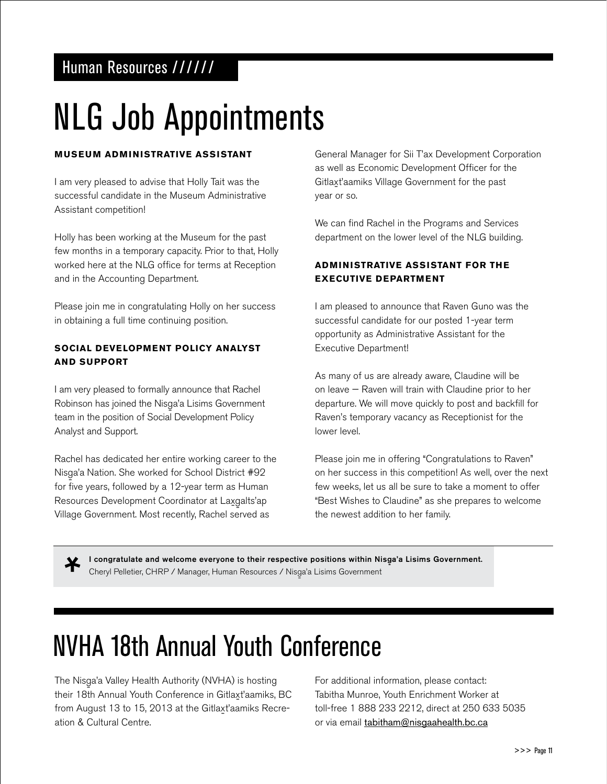### Human Resources //////

# NLG Job Appointments

### **Museum Administrative Assistant**

I am very pleased to advise that Holly Tait was the successful candidate in the Museum Administrative Assistant competition!

Holly has been working at the Museum for the past few months in a temporary capacity. Prior to that, Holly worked here at the NLG office for terms at Reception and in the Accounting Department.

Please join me in congratulating Holly on her success in obtaining a full time continuing position.

### **Social Development Policy Analyst and Support**

I am very pleased to formally announce that Rachel Robinson has joined the Nisga'a Lisims Government<br>|team in the position of Social Development Policy Analyst and Support.

Rachel has dedicated her entire working career to the Nisga'a Nation. She worked for School District #92 for five years, followed by a 12-year term as Human Resources Development Coordinator at Laxgalts'ap - Village Government. Most recently, Rachel served as

General Manager for Sii T'ax Development Corporation as well as Economic Development Officer for the Gitlax-t'aamiks Village Government for the past year or so.

We can find Rachel in the Programs and Services department on the lower level of the NLG building.

### **Administrative Assistant for the Executive Department**

I am pleased to announce that Raven Guno was the successful candidate for our posted 1-year term opportunity as Administrative Assistant for the Executive Department!

As many of us are already aware, Claudine will be on leave — Raven will train with Claudine prior to her departure. We will move quickly to post and backfill for Raven's temporary vacancy as Receptionist for the lower level.

Please join me in offering "Congratulations to Raven" on her success in this competition! As well, over the next few weeks, let us all be sure to take a moment to offer "Best Wishes to Claudine" as she prepares to welcome the newest addition to her family.

I congratulate and welcome everyone to their respective positions within Nisga'a Lisims Government.<br>. Cheryl Pelletier, CHRP / Manager, Human Resources / Nisga'a Lisims Government<br>.

# NVHA 18th Annual Youth Conference

The Nisga'a Valley Health Authority (NVHA) is hosting<br>'' at 2011 And 122 Hotel Conference City of the study their 18th Annual Youth Conference in Gitlaxt'aamiks, BC from August 13 to 15, 2013 at the Gitlaxt'aamiks Recreation & Cultural Centre.

For additional information, please contact: Tabitha Munroe, Youth Enrichment Worker at toll-free 1 888 233 2212, direct at 250 633 5035 or via email tabitham@nisgaahealth.bc.ca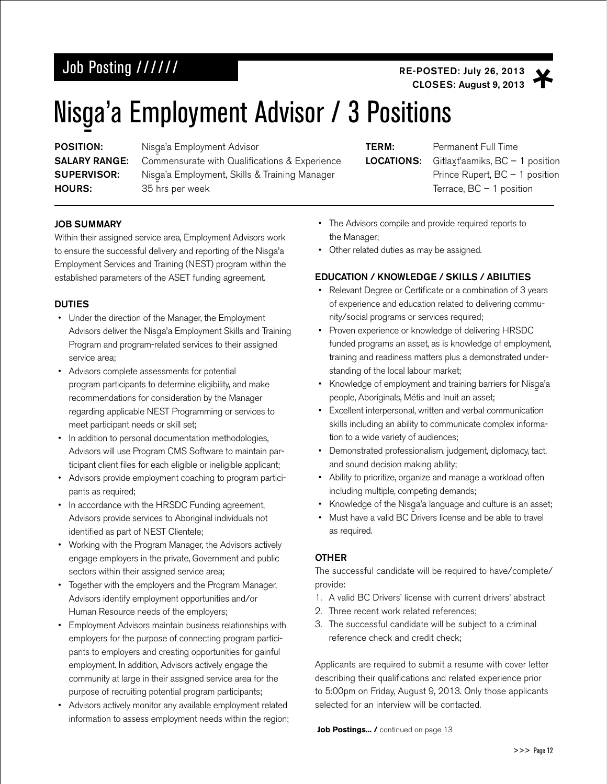### Job Posting ////// **Access 2013** RE-POSTED: July 26, 2013

CLOSES: August 9, 2013

# Nisga'a Employment Advisor / 3 Positions

**POSITION:<br>SALARY RANGE:** SUPERVISOR:<br>HOURS:

Nisga'a Employment Advisor Commensurate with Qualifications & Experience Nisga'a Employment, Skills & Training Manager 35 hrs per week

LOCATIONS:

**TERM:** Permanent Full Time Gitlaxt'aamiks,  $BC - 1$  position Prince Rupert, BC – 1 position Terrace,  $BC - 1$  position

### JOB SUMMARY

Within their assigned service area, Employment Advisors work to ensure the successful delivery and reporting of the Nisga'a<br>Family of the Nisga'a Employment Services and Training (NEST) program within the established parameters of the ASET funding agreement.

### **DUTIES**

- Under the direction of the Manager, the Employment Advisors deliver the Nisga'a Employment Skills and Training<br>P Program and program-related services to their assigned service area;
- Advisors complete assessments for potential program participants to determine eligibility, and make recommendations for consideration by the Manager regarding applicable NEST Programming or services to meet participant needs or skill set;
- In addition to personal documentation methodologies, Advisors will use Program CMS Software to maintain participant client files for each eligible or ineligible applicant;
- Advisors provide employment coaching to program participants as required;
- In accordance with the HRSDC Funding agreement, Advisors provide services to Aboriginal individuals not identified as part of NEST Clientele;
- Working with the Program Manager, the Advisors actively engage employers in the private, Government and public sectors within their assigned service area;
- Together with the employers and the Program Manager, Advisors identify employment opportunities and/or Human Resource needs of the employers;
- Employment Advisors maintain business relationships with employers for the purpose of connecting program participants to employers and creating opportunities for gainful employment. In addition, Advisors actively engage the community at large in their assigned service area for the purpose of recruiting potential program participants;
- Advisors actively monitor any available employment related information to assess employment needs within the region;
- The Advisors compile and provide required reports to the Manager;
- Other related duties as may be assigned.

### EDUCATION / KNOWLEDGE / SKILLS / ABILITIES

- Relevant Degree or Certificate or a combination of 3 years of experience and education related to delivering community/social programs or services required;
- Proven experience or knowledge of delivering HRSDC funded programs an asset, as is knowledge of employment, training and readiness matters plus a demonstrated understanding of the local labour market;
- Knowledge of employment and training barriers for Nisga'a<br>about the state of Military that the special people, Aboriginals, Métis and Inuit an asset;
- Excellent interpersonal, written and verbal communication skills including an ability to communicate complex information to a wide variety of audiences;
- Demonstrated professionalism, judgement, diplomacy, tact, and sound decision making ability;
- Ability to prioritize, organize and manage a workload often including multiple, competing demands;
- Knowledge of the Nisga'a language and culture is an asset;<br>Martham and id BC Driven times and handle to the day
- Must have a valid BC Drivers license and be able to travel as required.

### **OTHER**

The successful candidate will be required to have/complete/ provide:

- 1. A valid BC Drivers' license with current drivers' abstract
- 2. Three recent work related references;
- 3. The successful candidate will be subject to a criminal reference check and credit check;

Applicants are required to submit a resume with cover letter describing their qualifications and related experience prior to 5:00pm on Friday, August 9, 2013. Only those applicants selected for an interview will be contacted.

Job Postings... / continued on page 13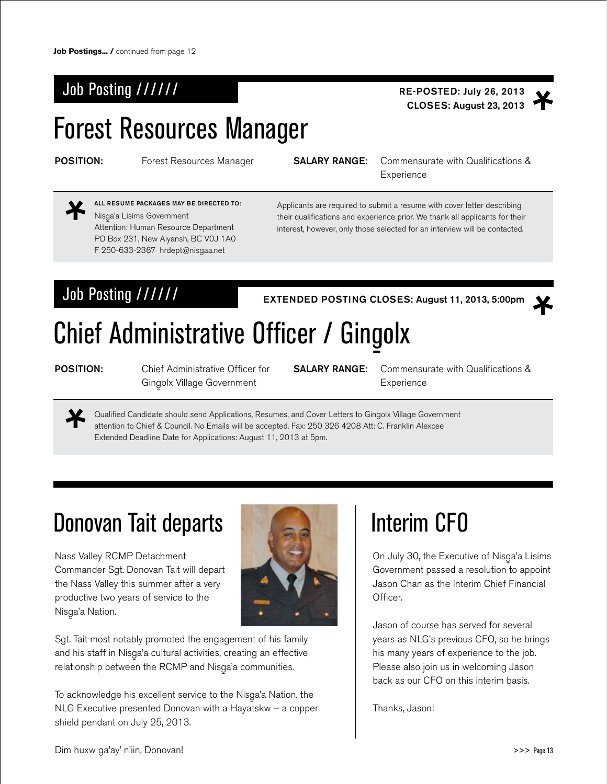### Job Posting ////// **RE-POSTED: July 26, 2013**

# Forest Resources Manager

**POSITION:** Forest Resources Manager **SALARY RANGE:** Commensurate with Qualifications & **Experience** 

Nisga'a Lisims Government<br>Alberti Attention: Human Resource Department PO Box 231, New Aiyansh, BC V0J 1A0 F 250-633-2367 hrdept@nisgaa.net All Resume Packages May Be Directed To:

Applicants are required to submit a resume with cover letter describing their qualifications and experience prior. We thank all applicants for their interest, however, only those selected for an interview will be contacted.

Job Posting ////// EXTENDED POSTING CLOSES: August 11, 2013, 5:00pm



# Chief Administrative Officer / Gingolx

POSITION: Chief Administrative Officer for Gingolx Village Government

SALARY RANGE: Commensurate with Qualifications & **Experience** 

CLOSES: August 23, 2013

Qualified Candidate should send Applications, Resumes, and Cover Letters to Gingolx Village Government attention to Chief & Council. No Emails will be accepted. Fax: 250 326 4208 Att: C. Franklin Alexcee Extended Deadline Date for Applications: August 11, 2013 at 5pm.

## Donovan Tait departs

Nass Valley RCMP Detachment Commander Sgt. Donovan Tait will depart the Nass Valley this summer after a very productive two years of service to the Nisga'a Nation.<br>'



Sgt. Tait most notably promoted the engagement of his family and his staff in Nisga'a cultural activities, creating an effective<br>Alimental de la ROMD de la Contentiu de la circ relationship between the RCMP and Nisga'a communities.<br>'

To acknowledge his excellent service to the Nisga'a Nation, the<br>All C F NLG Executive presented Donovan with a Hayatskw – a copper shield pendant on July 25, 2013.

# Interim CFO

On July 30, the Executive of Nisga'a Lisims<br>C Government passed a resolution to appoint Jason Chan as the Interim Chief Financial Officer.

Jason of course has served for several years as NLG's previous CFO, so he brings his many years of experience to the job. Please also join us in welcoming Jason back as our CFO on this interim basis.

Thanks, Jason!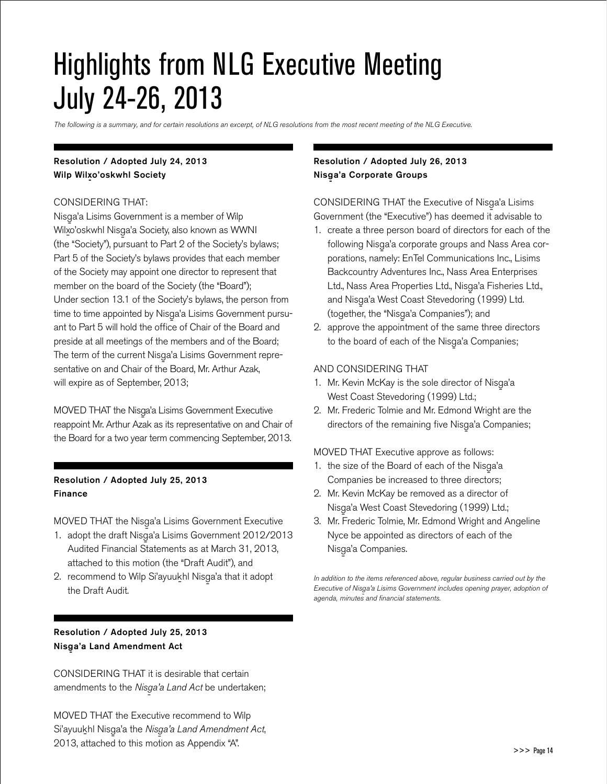# Highlights from NLG Executive Meeting July 24-26, 2013

*The following is a summary, and for certain resolutions an excerpt, of NLG resolutions from the most recent meeting of the NLG Executive.* 

### Resolution / Adopted July 24, 2013 Wilp Wilxo'oskwhl Society

#### CONSIDERING THAT:

Nisga'a Lisims Government is a member of Wilp<br>Wilaya List Niki Wilx-o'oskwhl Nisg-a'a Society, also known as WWNI (the "Society"), pursuant to Part 2 of the Society's bylaws; Part 5 of the Society's bylaws provides that each member of the Society may appoint one director to represent that member on the board of the Society (the "Board"); Under section 13.1 of the Society's bylaws, the person from time to time appointed by Nisga'a Lisims Government pursuant to Part 5 will hold the office of Chair of the Board and preside at all meetings of the members and of the Board; The term of the current Nisga'a Lisims Government representative on and Chair of the Board, Mr. Arthur Azak, will expire as of September, 2013;

MOVED THAT the Nisga'a Lisims Government Executive<br>And Adding Apple The List reappoint Mr. Arthur Azak as its representative on and Chair of the Board for a two year term commencing September, 2013.

### Resolution / Adopted July 25, 2013 Finance

MOVED THAT the Nisga'a Lisims Government Executive<br>Annual Library (Alisandria Corporation of 2010/02

- 1. adopt the draft Nisga'a Lisims Government  $2012/2013$ Audited Financial Statements as at March 31, 2013, attached to this motion (the "Draft Audit"), and
- 2. recommend to Wilp Si'ayuukhl Nisga'a that it adopt the Draft Audit.

### Resolution / Adopted July 25, 2013 Nisga'a Land Amendment Act

CONSIDERING THAT it is desirable that certain amendments to the *Nisga'a Land Act* be undertaken;<br>.

MOVED THAT the Executive recommend to Wilp Si'ayuukhl Nisga'a the *Nisga'a Land Amendment Act*,<br>2010 - '' Land Ali ali an 2013, attached to this motion as Appendix "A".

### Resolution / Adopted July 26, 2013 Nisga'a Corporate Groups

CONSIDERING THAT the Executive of Nisga'a Lisims<br>C Government (the "Executive") has deemed it advisable to

- 1. create a three person board of directors for each of the following Nisga'a corporate groups and Nass Area corporations, namely: EnTel Communications Inc., Lisims Backcountry Adventures Inc., Nass Area Enterprises Ltd., Nass Area Properties Ltd., Nisg-a'a Fisheries Ltd., and Nisg-a'a West Coast Stevedoring (1999) Ltd. (together, the "Nisga'a Companies"); and<br>...
- 2. approve the appointment of the same three directors to the board of each of the Nisga'a Companies;<br>.

#### AND CONSIDERING THAT

- 1. Mr. Kevin McKay is the sole director of Nisga'a<br>  $W_4 + G_4 + G_5 + G_6 + G_7 + G_8 + G_9$ West Coast Stevedoring (1999) Ltd.;
- 2. Mr. Frederic Tolmie and Mr. Edmond Wright are the directors of the remaining five Nisga'a Companies;<br>.

#### MOVED THAT Executive approve as follows:

- 1. the size of the Board of each of the Nisga'a Companies be increased to three directors;
- 2. Mr. Kevin McKay be removed as a director of Nisga'a West Coast Stevedoring (1999) Ltd.;<br>Marchi Andrie Marchi (1946)
- 3. Mr. Frederic Tolmie, Mr. Edmond Wright and Angeline Nyce be appointed as directors of each of the Nisga'a Companies.<br>'

*In addition to the items referenced above, regular business carried out by the Executive of Nisg-a'a Lisims Government includes opening prayer, adoption of agenda, minutes and financial statements.*